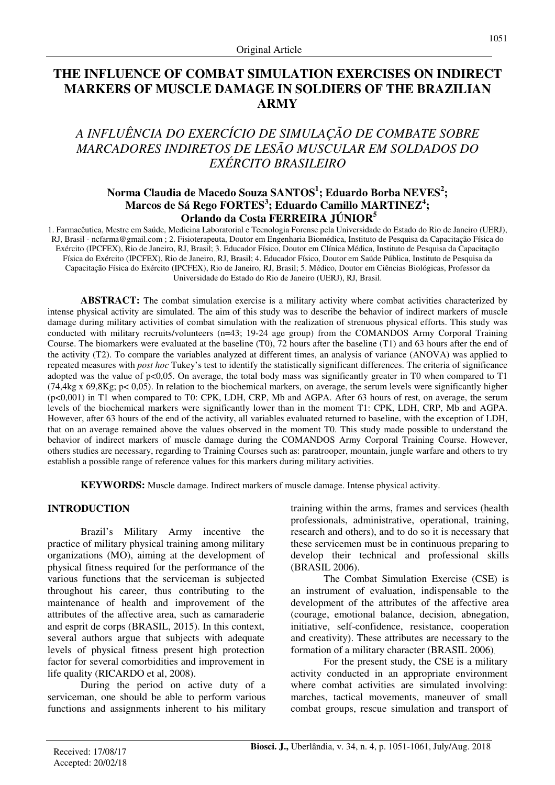## **THE INFLUENCE OF COMBAT SIMULATION EXERCISES ON INDIRECT MARKERS OF MUSCLE DAMAGE IN SOLDIERS OF THE BRAZILIAN ARMY**

# *A INFLUÊNCIA DO EXERCÍCIO DE SIMULAÇÃO DE COMBATE SOBRE MARCADORES INDIRETOS DE LESÃO MUSCULAR EM SOLDADOS DO EXÉRCITO BRASILEIRO*

## **Norma Claudia de Macedo Souza SANTOS<sup>1</sup> ; Eduardo Borba NEVES<sup>2</sup> ; Marcos de Sá Rego FORTES<sup>3</sup> ; Eduardo Camillo MARTINEZ<sup>4</sup> ; Orlando da Costa FERREIRA JÚNIOR<sup>5</sup>**

1. Farmacêutica, Mestre em Saúde, Medicina Laboratorial e Tecnologia Forense pela Universidade do Estado do Rio de Janeiro (UERJ), RJ, Brasil - ncfarma@gmail.com ; 2. Fisioterapeuta, Doutor em Engenharia Biomédica, Instituto de Pesquisa da Capacitação Física do Exército (IPCFEX), Rio de Janeiro, RJ, Brasil; 3. Educador Físico, Doutor em Clínica Médica, Instituto de Pesquisa da Capacitação Física do Exército (IPCFEX), Rio de Janeiro, RJ, Brasil; 4. Educador Físico, Doutor em Saúde Pública, Instituto de Pesquisa da Capacitação Física do Exército (IPCFEX), Rio de Janeiro, RJ, Brasil; 5. Médico, Doutor em Ciências Biológicas, Professor da Universidade do Estado do Rio de Janeiro (UERJ), RJ, Brasil.

ABSTRACT: The combat simulation exercise is a military activity where combat activities characterized by intense physical activity are simulated. The aim of this study was to describe the behavior of indirect markers of muscle damage during military activities of combat simulation with the realization of strenuous physical efforts. This study was conducted with military recruits/volunteers (n=43; 19-24 age group) from the COMANDOS Army Corporal Training Course. The biomarkers were evaluated at the baseline (T0), 72 hours after the baseline (T1) and 63 hours after the end of the activity (T2). To compare the variables analyzed at different times, an analysis of variance (ANOVA) was applied to repeated measures with *post hoc* Tukey's test to identify the statistically significant differences. The criteria of significance adopted was the value of  $p<0,05$ . On average, the total body mass was significantly greater in T0 when compared to T1 (74,4kg x 69,8Kg; p< 0,05). In relation to the biochemical markers, on average, the serum levels were significantly higher (p<0,001) in T1 when compared to T0: CPK, LDH, CRP, Mb and AGPA. After 63 hours of rest, on average, the serum levels of the biochemical markers were significantly lower than in the moment T1: CPK, LDH, CRP, Mb and AGPA. However, after 63 hours of the end of the activity, all variables evaluated returned to baseline, with the exception of LDH, that on an average remained above the values observed in the moment T0. This study made possible to understand the behavior of indirect markers of muscle damage during the COMANDOS Army Corporal Training Course. However, others studies are necessary, regarding to Training Courses such as: paratrooper, mountain, jungle warfare and others to try establish a possible range of reference values for this markers during military activities.

**KEYWORDS:** Muscle damage. Indirect markers of muscle damage. Intense physical activity.

#### **INTRODUCTION**

Brazil's Military Army incentive the practice of military physical training among military organizations (MO), aiming at the development of physical fitness required for the performance of the various functions that the serviceman is subjected throughout his career, thus contributing to the maintenance of health and improvement of the attributes of the affective area, such as camaraderie and esprit de corps (BRASIL, 2015). In this context, several authors argue that subjects with adequate levels of physical fitness present high protection factor for several comorbidities and improvement in life quality (RICARDO et al, 2008).

During the period on active duty of a serviceman, one should be able to perform various functions and assignments inherent to his military training within the arms, frames and services (health professionals, administrative, operational, training, research and others), and to do so it is necessary that these servicemen must be in continuous preparing to develop their technical and professional skills (BRASIL 2006).

The Combat Simulation Exercise (CSE) is an instrument of evaluation, indispensable to the development of the attributes of the affective area (courage, emotional balance, decision, abnegation, initiative, self-confidence, resistance, cooperation and creativity). These attributes are necessary to the formation of a military character (BRASIL 2006).

For the present study, the CSE is a military activity conducted in an appropriate environment where combat activities are simulated involving: marches, tactical movements, maneuver of small combat groups, rescue simulation and transport of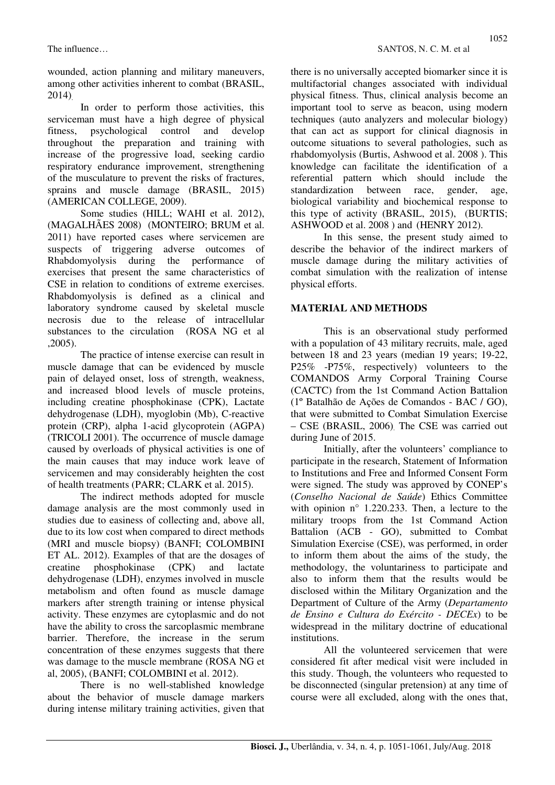wounded, action planning and military maneuvers, among other activities inherent to combat (BRASIL, 2014).

In order to perform those activities, this serviceman must have a high degree of physical fitness, psychological control and develop throughout the preparation and training with increase of the progressive load, seeking cardio respiratory endurance improvement, strengthening of the musculature to prevent the risks of fractures, sprains and muscle damage (BRASIL, 2015) (AMERICAN COLLEGE, 2009).

Some studies (HILL; WAHI et al. 2012), (MAGALHÃES 2008) (MONTEIRO; BRUM et al. 2011) have reported cases where servicemen are suspects of triggering adverse outcomes of Rhabdomyolysis during the performance of exercises that present the same characteristics of CSE in relation to conditions of extreme exercises. Rhabdomyolysis is defined as a clinical and laboratory syndrome caused by skeletal muscle necrosis due to the release of intracellular substances to the circulation (ROSA NG et al. ,2005).

The practice of intense exercise can result in muscle damage that can be evidenced by muscle pain of delayed onset, loss of strength, weakness, and increased blood levels of muscle proteins, including creatine phosphokinase (CPK), Lactate dehydrogenase (LDH), myoglobin (Mb), C-reactive protein (CRP), alpha 1-acid glycoprotein (AGPA) (TRICOLI 2001). The occurrence of muscle damage caused by overloads of physical activities is one of the main causes that may induce work leave of servicemen and may considerably heighten the cost of health treatments (PARR; CLARK et al. 2015).

The indirect methods adopted for muscle damage analysis are the most commonly used in studies due to easiness of collecting and, above all, due to its low cost when compared to direct methods (MRI and muscle biopsy) (BANFI; COLOMBINI ET AL. 2012). Examples of that are the dosages of creatine phosphokinase (CPK) and lactate dehydrogenase (LDH), enzymes involved in muscle metabolism and often found as muscle damage markers after strength training or intense physical activity. These enzymes are cytoplasmic and do not have the ability to cross the sarcoplasmic membrane barrier. Therefore, the increase in the serum concentration of these enzymes suggests that there was damage to the muscle membrane (ROSA NG et al, 2005), (BANFI; COLOMBINI et al. 2012).

There is no well-stablished knowledge about the behavior of muscle damage markers during intense military training activities, given that there is no universally accepted biomarker since it is multifactorial changes associated with individual physical fitness. Thus, clinical analysis become an important tool to serve as beacon, using modern techniques (auto analyzers and molecular biology) that can act as support for clinical diagnosis in outcome situations to several pathologies, such as rhabdomyolysis (Burtis, Ashwood et al. 2008 ). This knowledge can facilitate the identification of a referential pattern which should include the standardization between race, gender, age, biological variability and biochemical response to this type of activity (BRASIL, 2015), (BURTIS; ASHWOOD et al. 2008 ) and (HENRY 2012).

In this sense, the present study aimed to describe the behavior of the indirect markers of muscle damage during the military activities of combat simulation with the realization of intense physical efforts.

## **MATERIAL AND METHODS**

This is an observational study performed with a population of 43 military recruits, male, aged between 18 and 23 years (median 19 years; 19-22, P25% -P75%, respectively) volunteers to the COMANDOS Army Corporal Training Course (CACTC) from the 1st Command Action Battalion (1º Batalhão de Ações de Comandos - BAC / GO), that were submitted to Combat Simulation Exercise – CSE (BRASIL, 2006). The CSE was carried out during June of 2015.

Initially, after the volunteers' compliance to participate in the research, Statement of Information to Institutions and Free and Informed Consent Form were signed. The study was approved by CONEP's (*Conselho Nacional de Saúde*) Ethics Committee with opinion n° 1.220.233. Then, a lecture to the military troops from the 1st Command Action Battalion (ACB - GO), submitted to Combat Simulation Exercise (CSE), was performed, in order to inform them about the aims of the study, the methodology, the voluntariness to participate and also to inform them that the results would be disclosed within the Military Organization and the Department of Culture of the Army (*Departamento de Ensino e Cultura do Exército - DECEx*) to be widespread in the military doctrine of educational institutions.

All the volunteered servicemen that were considered fit after medical visit were included in this study. Though, the volunteers who requested to be disconnected (singular pretension) at any time of course were all excluded, along with the ones that,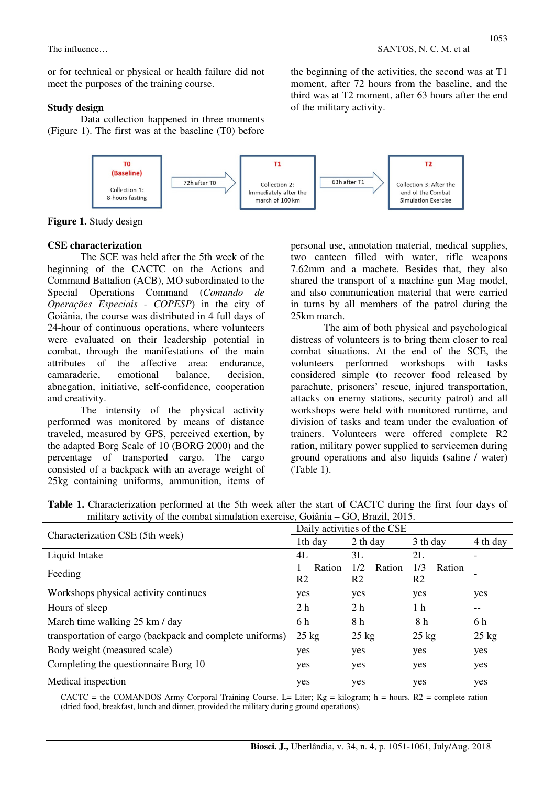or for technical or physical or health failure did not meet the purposes of the training course.

#### **Study design**

Data collection happened in three moments (Figure 1). The first was at the baseline (T0) before



**Figure 1.** Study design

#### **CSE characterization**

The SCE was held after the 5th week of the beginning of the CACTC on the Actions and Command Battalion (ACB), MO subordinated to the Special Operations Command (*Comando de Operações Especiais - COPESP*) in the city of Goiânia, the course was distributed in 4 full days of 24-hour of continuous operations, where volunteers were evaluated on their leadership potential in combat, through the manifestations of the main attributes of the affective area: endurance, camaraderie, emotional balance, decision, abnegation, initiative, self-confidence, cooperation and creativity.

The intensity of the physical activity performed was monitored by means of distance traveled, measured by GPS, perceived exertion, by the adapted Borg Scale of 10 (BORG 2000) and the percentage of transported cargo. The cargo consisted of a backpack with an average weight of 25kg containing uniforms, ammunition, items of personal use, annotation material, medical supplies, two canteen filled with water, rifle weapons 7.62mm and a machete. Besides that, they also shared the transport of a machine gun Mag model, and also communication material that were carried in turns by all members of the patrol during the 25km march.

The aim of both physical and psychological distress of volunteers is to bring them closer to real combat situations. At the end of the SCE, the volunteers performed workshops with tasks considered simple (to recover food released by parachute, prisoners' rescue, injured transportation, attacks on enemy stations, security patrol) and all workshops were held with monitored runtime, and division of tasks and team under the evaluation of trainers. Volunteers were offered complete R2 ration, military power supplied to servicemen during ground operations and also liquids (saline / water) (Table 1).

|                                                          | Daily activities of the CSE |                     |                                 |                 |  |  |  |  |
|----------------------------------------------------------|-----------------------------|---------------------|---------------------------------|-----------------|--|--|--|--|
| Characterization CSE (5th week)                          | 1th day                     | 2 th day            | 3 th day                        | 4 th day        |  |  |  |  |
| Liquid Intake                                            | 4L                          | 3L                  | 2L                              |                 |  |  |  |  |
| Feeding                                                  | Ration<br>R <sub>2</sub>    | 1/2<br>Ration<br>R2 | 1/3<br>Ration<br>R <sub>2</sub> |                 |  |  |  |  |
| Workshops physical activity continues                    | yes                         | yes                 | yes                             | yes             |  |  |  |  |
| Hours of sleep                                           | 2 <sub>h</sub>              | 2 <sub>h</sub>      | 1 <sub>h</sub>                  | --              |  |  |  |  |
| March time walking 25 km / day                           | 6 h                         | 8 h                 | 8 h                             | 6 h             |  |  |  |  |
| transportation of cargo (backpack and complete uniforms) | $25 \text{ kg}$             | $25 \text{ kg}$     | $25 \text{ kg}$                 | $25 \text{ kg}$ |  |  |  |  |
| Body weight (measured scale)                             | yes                         | yes                 | yes                             | yes             |  |  |  |  |
| Completing the questionnaire Borg 10                     | yes                         | yes                 | yes                             | yes             |  |  |  |  |
| Medical inspection                                       | yes                         | yes                 | yes                             | yes             |  |  |  |  |

**Table 1.** Characterization performed at the 5th week after the start of CACTC during the first four days of military activity of the combat simulation exercise, Goiânia – GO, Brazil, 2015.

CACTC = the COMANDOS Army Corporal Training Course. L= Liter;  $Kg =$  kilogram; h = hours. R2 = complete ration (dried food, breakfast, lunch and dinner, provided the military during ground operations).

the beginning of the activities, the second was at T1 moment, after 72 hours from the baseline, and the third was at T2 moment, after 63 hours after the end of the military activity.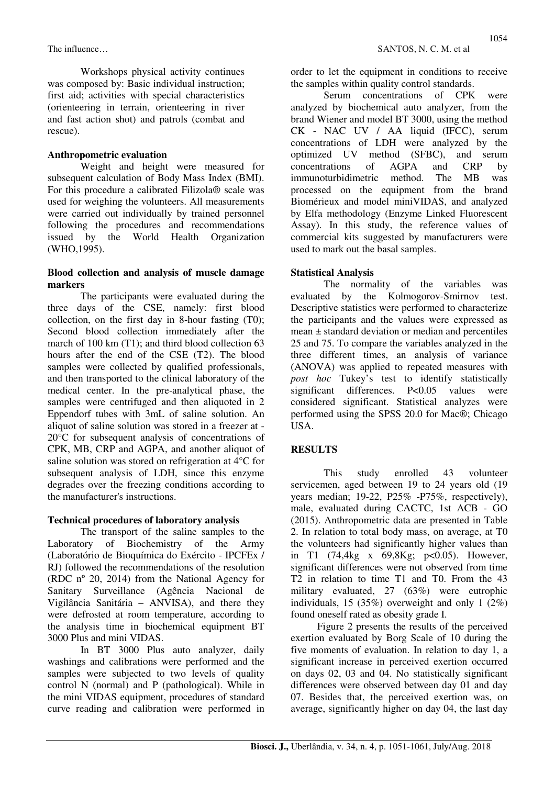Workshops physical activity continues was composed by: Basic individual instruction; first aid; activities with special characteristics (orienteering in terrain, orienteering in river and fast action shot) and patrols (combat and rescue).

#### **Anthropometric evaluation**

Weight and height were measured for subsequent calculation of Body Mass Index (BMI). For this procedure a calibrated Filizola® scale was used for weighing the volunteers. All measurements were carried out individually by trained personnel following the procedures and recommendations issued by the World Health Organization (WHO,1995).

#### **Blood collection and analysis of muscle damage markers**

The participants were evaluated during the three days of the CSE, namely: first blood collection, on the first day in 8-hour fasting (T0); Second blood collection immediately after the march of 100 km (T1); and third blood collection 63 hours after the end of the CSE (T2). The blood samples were collected by qualified professionals, and then transported to the clinical laboratory of the medical center. In the pre-analytical phase, the samples were centrifuged and then aliquoted in 2 Eppendorf tubes with 3mL of saline solution. An aliquot of saline solution was stored in a freezer at - 20°C for subsequent analysis of concentrations of CPK, MB, CRP and AGPA, and another aliquot of saline solution was stored on refrigeration at 4°C for subsequent analysis of LDH, since this enzyme degrades over the freezing conditions according to the manufacturer's instructions.

#### **Technical procedures of laboratory analysis**

The transport of the saline samples to the Laboratory of Biochemistry of the Army (Laboratório de Bioquímica do Exército - IPCFEx / RJ) followed the recommendations of the resolution (RDC nº 20, 2014) from the National Agency for Sanitary Surveillance (Agência Nacional de Vigilância Sanitária – ANVISA), and there they were defrosted at room temperature, according to the analysis time in biochemical equipment BT 3000 Plus and mini VIDAS.

In BT 3000 Plus auto analyzer, daily washings and calibrations were performed and the samples were subjected to two levels of quality control N (normal) and P (pathological). While in the mini VIDAS equipment, procedures of standard curve reading and calibration were performed in order to let the equipment in conditions to receive the samples within quality control standards.

Serum concentrations of CPK were analyzed by biochemical auto analyzer, from the brand Wiener and model BT 3000, using the method CK - NAC UV / AA liquid (IFCC), serum concentrations of LDH were analyzed by the optimized UV method (SFBC), and serum concentrations of AGPA and CRP by immunoturbidimetric method. The MB was processed on the equipment from the brand Biomérieux and model miniVIDAS, and analyzed by Elfa methodology (Enzyme Linked Fluorescent Assay). In this study, the reference values of commercial kits suggested by manufacturers were used to mark out the basal samples.

#### **Statistical Analysis**

The normality of the variables was evaluated by the Kolmogorov-Smirnov test. Descriptive statistics were performed to characterize the participants and the values were expressed as mean ± standard deviation or median and percentiles 25 and 75. To compare the variables analyzed in the three different times, an analysis of variance (ANOVA) was applied to repeated measures with *post hoc* Tukey's test to identify statistically significant differences. P<0.05 values were considered significant. Statistical analyzes were performed using the SPSS 20.0 for Mac®; Chicago USA.

## **RESULTS**

This study enrolled 43 volunteer servicemen, aged between 19 to 24 years old (19 years median; 19-22, P25% -P75%, respectively), male, evaluated during CACTC, 1st ACB - GO (2015). Anthropometric data are presented in Table 2. In relation to total body mass, on average, at T0 the volunteers had significantly higher values than in T1 (74,4kg x 69,8Kg; p<0.05). However, significant differences were not observed from time T2 in relation to time T1 and T0. From the 43 military evaluated, 27 (63%) were eutrophic individuals, 15 (35%) overweight and only 1 (2%) found oneself rated as obesity grade I.

Figure 2 presents the results of the perceived exertion evaluated by Borg Scale of 10 during the five moments of evaluation. In relation to day 1, a significant increase in perceived exertion occurred on days 02, 03 and 04. No statistically significant differences were observed between day 01 and day 07. Besides that, the perceived exertion was, on average, significantly higher on day 04, the last day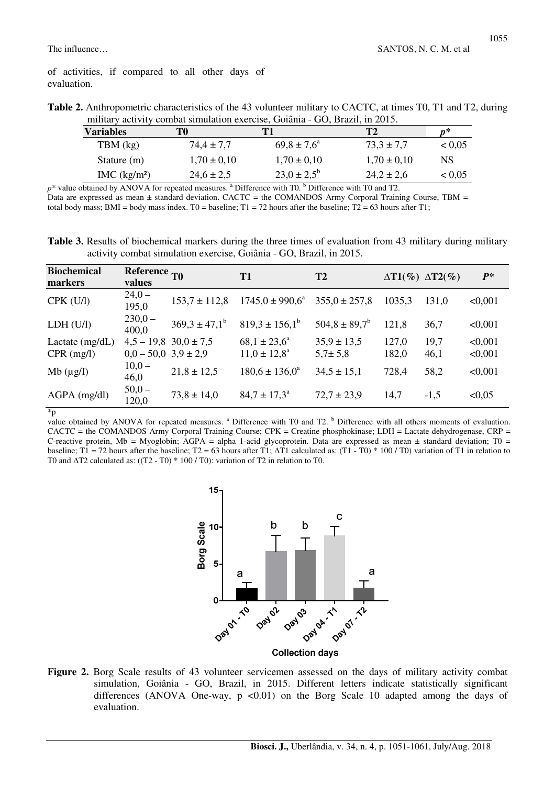|  | Table 2. Anthropometric characteristics of the 43 volunteer military to CACTC, at times T0, T1 and T2, during |  |  |  |  |  |  |
|--|---------------------------------------------------------------------------------------------------------------|--|--|--|--|--|--|
|  | military activity combat simulation exercise, Goiânia - GO, Brazil, in 2015.                                  |  |  |  |  |  |  |

| <b>Variables</b>        | T0              | Т1                     | <b>T2</b>       | n*     |
|-------------------------|-----------------|------------------------|-----------------|--------|
| TBM (kg)                | $74.4 \pm 7.7$  | $69.8 \pm 7.6^{\circ}$ | $73.3 \pm 7.7$  | < 0.05 |
| Stature (m)             | $1,70 \pm 0,10$ | $1,70 \pm 0,10$        | $1,70 \pm 0,10$ | NS     |
| MC (kg/m <sup>2</sup> ) | $24.6 \pm 2.5$  | $23.0 \pm 2.5^{\circ}$ | $24.2 \pm 2.6$  | < 0.05 |

 $p^*$  value obtained by ANOVA for repeated measures.  $a^*$  Difference with T0.  $b^*$  Difference with T0 and T2. Data are expressed as mean  $\pm$  standard deviation. CACTC = the COMANDOS Army Corporal Training Course, TBM = total body mass; BMI = body mass index. T0 = baseline; T1 = 72 hours after the baseline; T2 = 63 hours after T1;

**Table 3.** Results of biochemical markers during the three times of evaluation from 43 military during military activity combat simulation exercise, Goiânia - GO, Brazil, in 2015.

| <b>Biochemical</b><br>markers | Reference <sub>T0</sub><br>values |                             | <b>T1</b>                  | T2                 |        | $\Delta T1(\%) \Delta T2(\%)$ | $P^*$   |
|-------------------------------|-----------------------------------|-----------------------------|----------------------------|--------------------|--------|-------------------------------|---------|
| $CPK$ (U/l)                   | $24,0-$<br>195,0                  | $153.7 \pm 112.8$           | $1745.0 \pm 990.6^{\circ}$ | $355.0 \pm 257.8$  | 1035,3 | 131,0                         | < 0,001 |
| LDH (U/I)                     | $230,0-$<br>400,0                 | $369.3 \pm 47.1^{\circ}$    | $819.3 \pm 156.1^{\circ}$  | $504.8 \pm 89.7^b$ | 121,8  | 36,7                          | < 0,001 |
| Lactate $(mg/dL)$             |                                   | $4,5 - 19,8$ $30,0 \pm 7,5$ | $68,1 \pm 23,6^{\circ}$    | $35.9 \pm 13.5$    | 127,0  | 19,7                          | < 0.001 |
| $CPR$ (mg/l)                  | $0,0-50,0$ 3,9 ± 2,9              |                             | $11.0 \pm 12.8^{\circ}$    | $5,7 \pm 5,8$      | 182,0  | 46,1                          | < 0,001 |
| Mb $(\mu g/I)$                | $10,0 -$<br>46,0                  | $21,8 \pm 12,5$             | $180.6 \pm 136.0^{\circ}$  | $34.5 \pm 15.1$    | 728,4  | 58,2                          | < 0,001 |
| $AGPA$ (mg/dl)                | $50,0 -$<br>120,0                 | $73,8 \pm 14,0$             | $84.7 \pm 17.3^{\circ}$    | $72,7 \pm 23,9$    | 14,7   | $-1,5$                        | < 0.05  |

\*p

value obtained by ANOVA for repeated measures. <sup>a</sup> Difference with T0 and T2. <sup>b</sup> Difference with all others moments of evaluation. CACTC = the COMANDOS Army Corporal Training Course; CPK = Creatine phosphokinase; LDH = Lactate dehydrogenase, CRP = C-reactive protein, Mb = Myoglobin; AGPA = alpha 1-acid glycoprotein. Data are expressed as mean  $\pm$  standard deviation; T0 = baseline; T1 = 72 hours after the baseline; T2 = 63 hours after T1;  $\Delta$ T1 calculated as: (T1 - T0) \* 100 / T0) variation of T1 in relation to T0 and  $\Delta$ T2 calculated as: ((T2 - T0) \* 100 / T0): variation of T2 in relation to T0.



Figure 2. Borg Scale results of 43 volunteer servicemen assessed on the days of military activity combat simulation, Goiânia - GO, Brazil, in 2015. Different letters indicate statistically significant differences (ANOVA One-way,  $p \leq 0.01$ ) on the Borg Scale 10 adapted among the days of evaluation.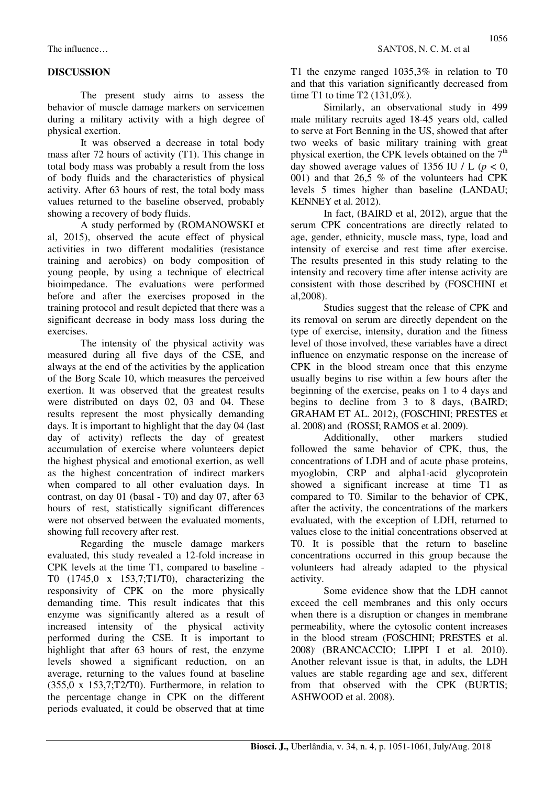## **DISCUSSION**

The present study aims to assess the behavior of muscle damage markers on servicemen during a military activity with a high degree of physical exertion.

It was observed a decrease in total body mass after 72 hours of activity (T1). This change in total body mass was probably a result from the loss of body fluids and the characteristics of physical activity. After 63 hours of rest, the total body mass values returned to the baseline observed, probably showing a recovery of body fluids.

A study performed by (ROMANOWSKI et al, 2015), observed the acute effect of physical activities in two different modalities (resistance training and aerobics) on body composition of young people, by using a technique of electrical bioimpedance. The evaluations were performed before and after the exercises proposed in the training protocol and result depicted that there was a significant decrease in body mass loss during the exercises.

The intensity of the physical activity was measured during all five days of the CSE, and always at the end of the activities by the application of the Borg Scale 10, which measures the perceived exertion. It was observed that the greatest results were distributed on days 02, 03 and 04. These results represent the most physically demanding days. It is important to highlight that the day 04 (last day of activity) reflects the day of greatest accumulation of exercise where volunteers depict the highest physical and emotional exertion, as well as the highest concentration of indirect markers when compared to all other evaluation days. In contrast, on day 01 (basal - T0) and day 07, after 63 hours of rest, statistically significant differences were not observed between the evaluated moments, showing full recovery after rest.

Regarding the muscle damage markers evaluated, this study revealed a 12-fold increase in CPK levels at the time T1, compared to baseline - T0 (1745,0 x 153,7;T1/T0), characterizing the responsivity of CPK on the more physically demanding time. This result indicates that this enzyme was significantly altered as a result of increased intensity of the physical activity performed during the CSE. It is important to highlight that after 63 hours of rest, the enzyme levels showed a significant reduction, on an average, returning to the values found at baseline  $(355.0 \times 153.7)$ ;T2/T0). Furthermore, in relation to the percentage change in CPK on the different periods evaluated, it could be observed that at time T1 the enzyme ranged 1035,3% in relation to T0 and that this variation significantly decreased from time T1 to time T2 (131,0%).

Similarly, an observational study in 499 male military recruits aged 18-45 years old, called to serve at Fort Benning in the US, showed that after two weeks of basic military training with great physical exertion, the CPK levels obtained on the  $7<sup>th</sup>$ day showed average values of 1356 IU / L  $(p < 0$ , 001) and that 26,5 % of the volunteers had CPK levels 5 times higher than baseline (LANDAU; KENNEY et al. 2012).

In fact, (BAIRD et al, 2012), argue that the serum CPK concentrations are directly related to age, gender, ethnicity, muscle mass, type, load and intensity of exercise and rest time after exercise. The results presented in this study relating to the intensity and recovery time after intense activity are consistent with those described by (FOSCHINI et al,2008).

Studies suggest that the release of CPK and its removal on serum are directly dependent on the type of exercise, intensity, duration and the fitness level of those involved, these variables have a direct influence on enzymatic response on the increase of CPK in the blood stream once that this enzyme usually begins to rise within a few hours after the beginning of the exercise, peaks on 1 to 4 days and begins to decline from 3 to 8 days, (BAIRD; GRAHAM ET AL. 2012), (FOSCHINI; PRESTES et al. 2008) and (ROSSI; RAMOS et al. 2009).

Additionally, other markers studied followed the same behavior of CPK, thus, the concentrations of LDH and of acute phase proteins, myoglobin, CRP and alpha1-acid glycoprotein showed a significant increase at time T1 as compared to T0. Similar to the behavior of CPK, after the activity, the concentrations of the markers evaluated, with the exception of LDH, returned to values close to the initial concentrations observed at T0. It is possible that the return to baseline concentrations occurred in this group because the volunteers had already adapted to the physical activity.

Some evidence show that the LDH cannot exceed the cell membranes and this only occurs when there is a disruption or changes in membrane permeability, where the cytosolic content increases in the blood stream (FOSCHINI; PRESTES et al. 2008), (BRANCACCIO; LIPPI I et al. 2010). Another relevant issue is that, in adults, the LDH values are stable regarding age and sex, different from that observed with the CPK (BURTIS; ASHWOOD et al. 2008).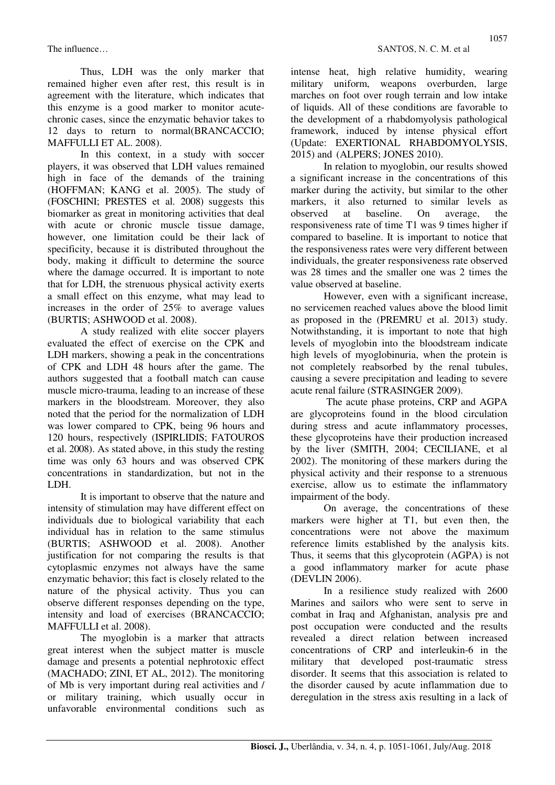Thus, LDH was the only marker that remained higher even after rest, this result is in agreement with the literature, which indicates that this enzyme is a good marker to monitor acutechronic cases, since the enzymatic behavior takes to 12 days to return to normal(BRANCACCIO; MAFFULLI ET AL. 2008).

In this context, in a study with soccer players, it was observed that LDH values remained high in face of the demands of the training (HOFFMAN; KANG et al. 2005). The study of (FOSCHINI; PRESTES et al. 2008) suggests this biomarker as great in monitoring activities that deal with acute or chronic muscle tissue damage, however, one limitation could be their lack of specificity, because it is distributed throughout the body, making it difficult to determine the source where the damage occurred. It is important to note that for LDH, the strenuous physical activity exerts a small effect on this enzyme, what may lead to increases in the order of 25% to average values (BURTIS; ASHWOOD et al. 2008).

A study realized with elite soccer players evaluated the effect of exercise on the CPK and LDH markers, showing a peak in the concentrations of CPK and LDH 48 hours after the game. The authors suggested that a football match can cause muscle micro-trauma, leading to an increase of these markers in the bloodstream. Moreover, they also noted that the period for the normalization of LDH was lower compared to CPK, being 96 hours and 120 hours, respectively (ISPIRLIDIS; FATOUROS et al. 2008). As stated above, in this study the resting time was only 63 hours and was observed CPK concentrations in standardization, but not in the LDH.

It is important to observe that the nature and intensity of stimulation may have different effect on individuals due to biological variability that each individual has in relation to the same stimulus (BURTIS; ASHWOOD et al. 2008). Another justification for not comparing the results is that cytoplasmic enzymes not always have the same enzymatic behavior; this fact is closely related to the nature of the physical activity. Thus you can observe different responses depending on the type, intensity and load of exercises (BRANCACCIO; MAFFULLI et al. 2008).

The myoglobin is a marker that attracts great interest when the subject matter is muscle damage and presents a potential nephrotoxic effect (MACHADO; ZINI, ET AL, 2012). The monitoring of Mb is very important during real activities and / or military training, which usually occur in unfavorable environmental conditions such as

intense heat, high relative humidity, wearing military uniform, weapons overburden, large marches on foot over rough terrain and low intake of liquids. All of these conditions are favorable to the development of a rhabdomyolysis pathological framework, induced by intense physical effort (Update: EXERTIONAL RHABDOMYOLYSIS, 2015) and (ALPERS; JONES 2010).

In relation to myoglobin, our results showed a significant increase in the concentrations of this marker during the activity, but similar to the other markers, it also returned to similar levels as observed at baseline. On average, the responsiveness rate of time T1 was 9 times higher if compared to baseline. It is important to notice that the responsiveness rates were very different between individuals, the greater responsiveness rate observed was 28 times and the smaller one was 2 times the value observed at baseline.

However, even with a significant increase, no servicemen reached values above the blood limit as proposed in the (PREMRU et al. 2013) study. Notwithstanding, it is important to note that high levels of myoglobin into the bloodstream indicate high levels of myoglobinuria, when the protein is not completely reabsorbed by the renal tubules, causing a severe precipitation and leading to severe acute renal failure (STRASINGER 2009).

 The acute phase proteins, CRP and AGPA are glycoproteins found in the blood circulation during stress and acute inflammatory processes, these glycoproteins have their production increased by the liver (SMITH, 2004; CECILIANE, et al 2002). The monitoring of these markers during the physical activity and their response to a strenuous exercise, allow us to estimate the inflammatory impairment of the body.

On average, the concentrations of these markers were higher at T1, but even then, the concentrations were not above the maximum reference limits established by the analysis kits. Thus, it seems that this glycoprotein (AGPA) is not a good inflammatory marker for acute phase (DEVLIN 2006).

In a resilience study realized with 2600 Marines and sailors who were sent to serve in combat in Iraq and Afghanistan, analysis pre and post occupation were conducted and the results revealed a direct relation between increased concentrations of CRP and interleukin-6 in the military that developed post-traumatic stress disorder. It seems that this association is related to the disorder caused by acute inflammation due to deregulation in the stress axis resulting in a lack of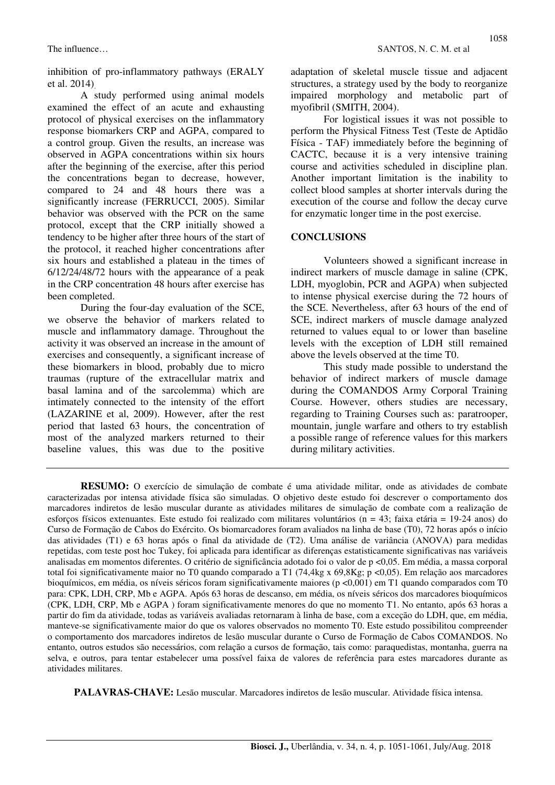inhibition of pro-inflammatory pathways (ERALY et al. 2014).

A study performed using animal models examined the effect of an acute and exhausting protocol of physical exercises on the inflammatory response biomarkers CRP and AGPA, compared to a control group. Given the results, an increase was observed in AGPA concentrations within six hours after the beginning of the exercise, after this period the concentrations began to decrease, however, compared to 24 and 48 hours there was a significantly increase (FERRUCCI, 2005). Similar behavior was observed with the PCR on the same protocol, except that the CRP initially showed a tendency to be higher after three hours of the start of the protocol, it reached higher concentrations after six hours and established a plateau in the times of 6/12/24/48/72 hours with the appearance of a peak in the CRP concentration 48 hours after exercise has been completed.

During the four-day evaluation of the SCE, we observe the behavior of markers related to muscle and inflammatory damage. Throughout the activity it was observed an increase in the amount of exercises and consequently, a significant increase of these biomarkers in blood, probably due to micro traumas (rupture of the extracellular matrix and basal lamina and of the sarcolemma) which are intimately connected to the intensity of the effort (LAZARINE et al, 2009). However, after the rest period that lasted 63 hours, the concentration of most of the analyzed markers returned to their baseline values, this was due to the positive adaptation of skeletal muscle tissue and adjacent structures, a strategy used by the body to reorganize impaired morphology and metabolic part of myofibril (SMITH, 2004).

For logistical issues it was not possible to perform the Physical Fitness Test (Teste de Aptidão Física - TAF) immediately before the beginning of CACTC, because it is a very intensive training course and activities scheduled in discipline plan. Another important limitation is the inability to collect blood samples at shorter intervals during the execution of the course and follow the decay curve for enzymatic longer time in the post exercise.

#### **CONCLUSIONS**

Volunteers showed a significant increase in indirect markers of muscle damage in saline (CPK, LDH, myoglobin, PCR and AGPA) when subjected to intense physical exercise during the 72 hours of the SCE. Nevertheless, after 63 hours of the end of SCE, indirect markers of muscle damage analyzed returned to values equal to or lower than baseline levels with the exception of LDH still remained above the levels observed at the time T0.

This study made possible to understand the behavior of indirect markers of muscle damage during the COMANDOS Army Corporal Training Course. However, others studies are necessary, regarding to Training Courses such as: paratrooper, mountain, jungle warfare and others to try establish a possible range of reference values for this markers during military activities.

**RESUMO:** O exercício de simulação de combate é uma atividade militar, onde as atividades de combate caracterizadas por intensa atividade física são simuladas. O objetivo deste estudo foi descrever o comportamento dos marcadores indiretos de lesão muscular durante as atividades militares de simulação de combate com a realização de esforços físicos extenuantes. Este estudo foi realizado com militares voluntários (n = 43; faixa etária = 19-24 anos) do Curso de Formação de Cabos do Exército. Os biomarcadores foram avaliados na linha de base (T0), 72 horas após o início das atividades (T1) e 63 horas após o final da atividade de (T2). Uma análise de variância (ANOVA) para medidas repetidas, com teste post hoc Tukey, foi aplicada para identificar as diferenças estatisticamente significativas nas variáveis analisadas em momentos diferentes. O critério de significância adotado foi o valor de p <0,05. Em média, a massa corporal total foi significativamente maior no T0 quando comparado a T1 (74,4kg x 69,8Kg; p <0,05). Em relação aos marcadores bioquímicos, em média, os níveis séricos foram significativamente maiores (p <0,001) em T1 quando comparados com T0 para: CPK, LDH, CRP, Mb e AGPA. Após 63 horas de descanso, em média, os níveis séricos dos marcadores bioquímicos (CPK, LDH, CRP, Mb e AGPA ) foram significativamente menores do que no momento T1. No entanto, após 63 horas a partir do fim da atividade, todas as variáveis avaliadas retornaram à linha de base, com a exceção do LDH, que, em média, manteve-se significativamente maior do que os valores observados no momento T0. Este estudo possibilitou compreender o comportamento dos marcadores indiretos de lesão muscular durante o Curso de Formação de Cabos COMANDOS. No entanto, outros estudos são necessários, com relação a cursos de formação, tais como: paraquedistas, montanha, guerra na selva, e outros, para tentar estabelecer uma possível faixa de valores de referência para estes marcadores durante as atividades militares.

**PALAVRAS-CHAVE:** Lesão muscular. Marcadores indiretos de lesão muscular. Atividade física intensa.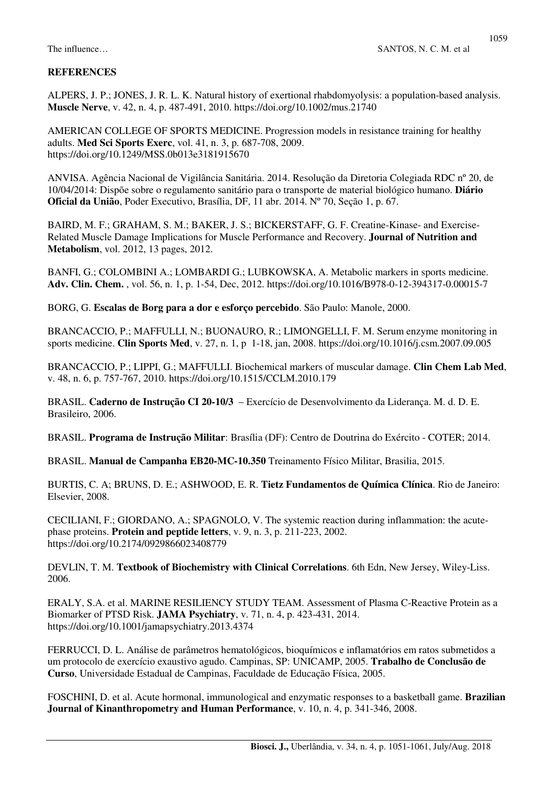#### **REFERENCES**

ALPERS, J. P.; JONES, J. R. L. K. Natural history of exertional rhabdomyolysis: a population-based analysis. **Muscle Nerve**, v. 42, n. 4, p. 487-491, 2010. https://doi.org/10.1002/mus.21740

AMERICAN COLLEGE OF SPORTS MEDICINE. Progression models in resistance training for healthy adults. **Med Sci Sports Exerc**, vol. 41, n. 3, p. 687-708, 2009. https://doi.org/10.1249/MSS.0b013e3181915670

ANVISA. Agência Nacional de Vigilância Sanitária. 2014. Resolução da Diretoria Colegiada RDC nº 20, de 10/04/2014: Dispõe sobre o regulamento sanitário para o transporte de material biológico humano. **Diário Oficial da União**, Poder Executivo, Brasília, DF, 11 abr. 2014. Nº 70, Seção 1, p. 67.

BAIRD, M. F.; GRAHAM, S. M.; BAKER, J. S.; BICKERSTAFF, G. F. Creatine-Kinase- and Exercise-Related Muscle Damage Implications for Muscle Performance and Recovery. **Journal of Nutrition and Metabolism**, vol. 2012, 13 pages, 2012.

BANFI, G.; COLOMBINI A.; LOMBARDI G.; LUBKOWSKA, A. Metabolic markers in sports medicine. **Adv. Clin. Chem.** , vol. 56, n. 1, p. 1-54, Dec, 2012. https://doi.org/10.1016/B978-0-12-394317-0.00015-7

BORG, G. **Escalas de Borg para a dor e esforço percebido**. São Paulo: Manole, 2000.

BRANCACCIO, P.; MAFFULLI, N.; BUONAURO, R.; LIMONGELLI, F. M. Serum enzyme monitoring in sports medicine. **Clin Sports Med**, v. 27, n. 1, p 1-18, jan, 2008. https://doi.org/10.1016/j.csm.2007.09.005

BRANCACCIO, P.; LIPPI, G.; MAFFULLI. Biochemical markers of muscular damage. **Clin Chem Lab Med**, v. 48, n. 6, p. 757-767, 2010. https://doi.org/10.1515/CCLM.2010.179

BRASIL. **Caderno de Instrução CI 20-10/3** – Exercício de Desenvolvimento da Liderança. M. d. D. E. Brasileiro, 2006.

BRASIL. **Programa de Instrução Militar**: Brasília (DF): Centro de Doutrina do Exército - COTER; 2014.

BRASIL. **Manual de Campanha EB20-MC-10.350** Treinamento Físico Militar, Brasilia, 2015.

BURTIS, C. A; BRUNS, D. E.; ASHWOOD, E. R. **Tietz Fundamentos de Química Clínica**. Rio de Janeiro: Elsevier, 2008.

CECILIANI, F.; GIORDANO, A.; SPAGNOLO, V. The systemic reaction during inflammation: the acutephase proteins. **Protein and peptide letters**, v. 9, n. 3, p. 211-223, 2002. https://doi.org/10.2174/0929866023408779

DEVLIN, T. M. **Textbook of Biochemistry with Clinical Correlations**. 6th Edn, New Jersey, Wiley-Liss. 2006.

ERALY, S.A. et al. MARINE RESILIENCY STUDY TEAM. Assessment of Plasma C-Reactive Protein as a Biomarker of PTSD Risk. **JAMA Psychiatry**, v. 71, n. 4, p. 423-431, 2014. https://doi.org/10.1001/jamapsychiatry.2013.4374

FERRUCCI, D. L. Análise de parâmetros hematológicos, bioquímicos e inflamatórios em ratos submetidos a um protocolo de exercício exaustivo agudo. Campinas, SP: UNICAMP, 2005. **Trabalho de Conclusão de Curso**, Universidade Estadual de Campinas, Faculdade de Educação Física, 2005.

FOSCHINI, D. et al. Acute hormonal, immunological and enzymatic responses to a basketball game. **Brazilian Journal of Kinanthropometry and Human Performance**, v. 10, n. 4, p. 341-346, 2008.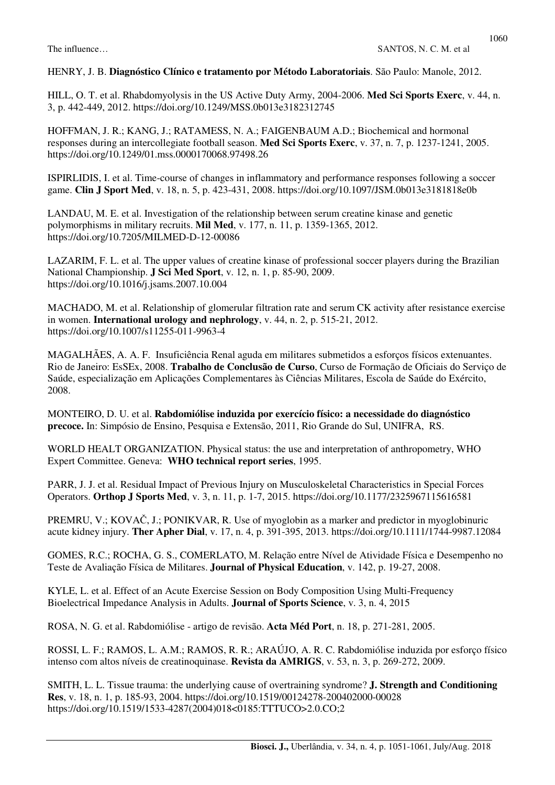## HENRY, J. B. **Diagnóstico Clínico e tratamento por Método Laboratoriais**. São Paulo: Manole, 2012.

HILL, O. T. et al. Rhabdomyolysis in the US Active Duty Army, 2004-2006. **Med Sci Sports Exerc**, v. 44, n. 3, p. 442-449, 2012. https://doi.org/10.1249/MSS.0b013e3182312745

HOFFMAN, J. R.; KANG, J.; RATAMESS, N. A.; FAIGENBAUM A.D.; Biochemical and hormonal responses during an intercollegiate football season. **Med Sci Sports Exerc**, v. 37, n. 7, p. 1237-1241, 2005. https://doi.org/10.1249/01.mss.0000170068.97498.26

ISPIRLIDIS, I. et al. Time-course of changes in inflammatory and performance responses following a soccer game. **Clin J Sport Med**, v. 18, n. 5, p. 423-431, 2008. https://doi.org/10.1097/JSM.0b013e3181818e0b

LANDAU, M. E. et al. Investigation of the relationship between serum creatine kinase and genetic polymorphisms in military recruits. **Mil Med**, v. 177, n. 11, p. 1359-1365, 2012. https://doi.org/10.7205/MILMED-D-12-00086

LAZARIM, F. L. et al. The upper values of creatine kinase of professional soccer players during the Brazilian National Championship. **J Sci Med Sport**, v. 12, n. 1, p. 85-90, 2009. https://doi.org/10.1016/j.jsams.2007.10.004

MACHADO, M. et al. Relationship of glomerular filtration rate and serum CK activity after resistance exercise in women. **International urology and nephrology**, v. 44, n. 2, p. 515-21, 2012. https://doi.org/10.1007/s11255-011-9963-4

MAGALHÃES, A. A. F. Insuficiência Renal aguda em militares submetidos a esforços físicos extenuantes. Rio de Janeiro: EsSEx, 2008. **Trabalho de Conclusão de Curso**, Curso de Formação de Oficiais do Serviço de Saúde, especialização em Aplicações Complementares às Ciências Militares, Escola de Saúde do Exército, 2008.

MONTEIRO, D. U. et al. **Rabdomiólise induzida por exercício físico: a necessidade do diagnóstico precoce.** In: Simpósio de Ensino, Pesquisa e Extensão, 2011, Rio Grande do Sul, UNIFRA, RS.

WORLD HEALT ORGANIZATION. Physical status: the use and interpretation of anthropometry, WHO Expert Committee. Geneva: **WHO technical report series**, 1995.

PARR, J. J. et al. Residual Impact of Previous Injury on Musculoskeletal Characteristics in Special Forces Operators. **Orthop J Sports Med**, v. 3, n. 11, p. 1-7, 2015. https://doi.org/10.1177/2325967115616581

PREMRU, V.; KOVAČ, J.; PONIKVAR, R. Use of myoglobin as a marker and predictor in myoglobinuric acute kidney injury. **Ther Apher Dial**, v. 17, n. 4, p. 391-395, 2013. https://doi.org/10.1111/1744-9987.12084

GOMES, R.C.; ROCHA, G. S., COMERLATO, M. Relação entre Nível de Atividade Física e Desempenho no Teste de Avaliação Física de Militares. **Journal of Physical Education**, v. 142, p. 19-27, 2008.

KYLE, L. et al. Effect of an Acute Exercise Session on Body Composition Using Multi-Frequency Bioelectrical Impedance Analysis in Adults. **Journal of Sports Science**, v. 3, n. 4, 2015

ROSA, N. G. et al. Rabdomiólise - artigo de revisão. **Acta Méd Port**, n. 18, p. 271-281, 2005.

ROSSI, L. F.; RAMOS, L. A.M.; RAMOS, R. R.; ARAÚJO, A. R. C. Rabdomiólise induzida por esforço físico intenso com altos níveis de creatinoquinase. **Revista da AMRIGS**, v. 53, n. 3, p. 269-272, 2009.

SMITH, L. L. Tissue trauma: the underlying cause of overtraining syndrome? **J. Strength and Conditioning Res**, v. 18, n. 1, p. 185-93, 2004. https://doi.org/10.1519/00124278-200402000-00028 https://doi.org/10.1519/1533-4287(2004)018<0185:TTTUCO>2.0.CO;2